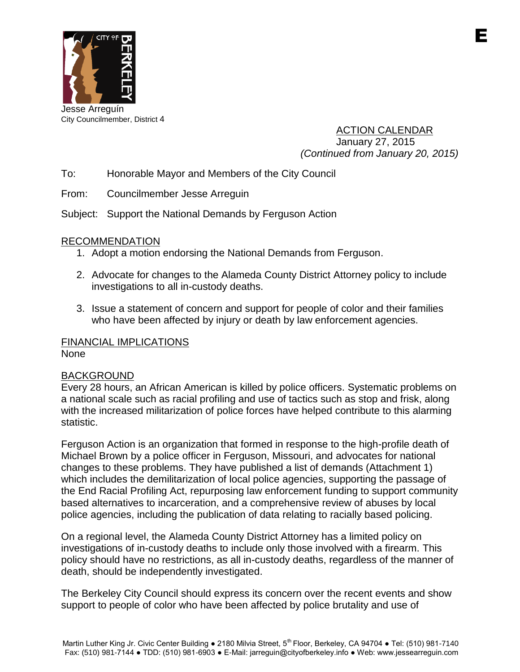

City Councilmember, District 4

ACTION CALENDAR January 27, 2015 *(Continued from January 20, 2015)*

To: Honorable Mayor and Members of the City Council

From: Councilmember Jesse Arreguin

Subject: Support the National Demands by Ferguson Action

# RECOMMENDATION

- 1. Adopt a motion endorsing the National Demands from Ferguson.
- 2. Advocate for changes to the Alameda County District Attorney policy to include investigations to all in-custody deaths.
- 3. Issue a statement of concern and support for people of color and their families who have been affected by injury or death by law enforcement agencies.

# FINANCIAL IMPLICATIONS

None

# BACKGROUND

Every 28 hours, an African American is killed by police officers. Systematic problems on a national scale such as racial profiling and use of tactics such as stop and frisk, along with the increased militarization of police forces have helped contribute to this alarming statistic.

Ferguson Action is an organization that formed in response to the high-profile death of Michael Brown by a police officer in Ferguson, Missouri, and advocates for national changes to these problems. They have published a list of demands (Attachment 1) which includes the demilitarization of local police agencies, supporting the passage of the End Racial Profiling Act, repurposing law enforcement funding to support community based alternatives to incarceration, and a comprehensive review of abuses by local police agencies, including the publication of data relating to racially based policing.

On a regional level, the Alameda County District Attorney has a limited policy on investigations of in-custody deaths to include only those involved with a firearm. This policy should have no restrictions, as all in-custody deaths, regardless of the manner of death, should be independently investigated.

The Berkeley City Council should express its concern over the recent events and show support to people of color who have been affected by police brutality and use of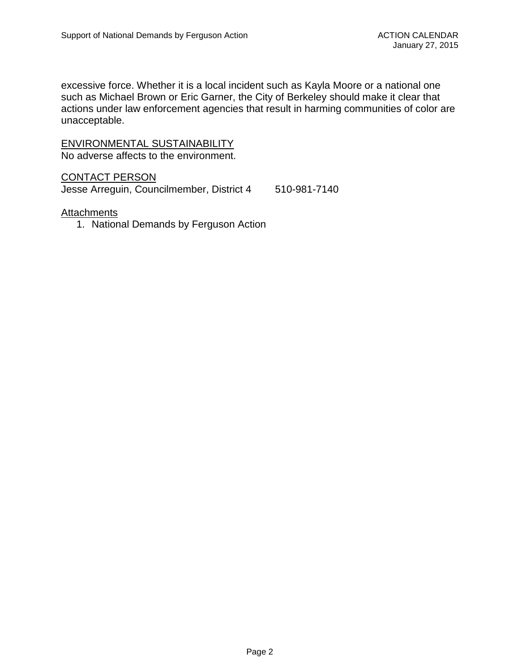excessive force. Whether it is a local incident such as Kayla Moore or a national one such as Michael Brown or Eric Garner, the City of Berkeley should make it clear that actions under law enforcement agencies that result in harming communities of color are unacceptable.

### ENVIRONMENTAL SUSTAINABILITY No adverse affects to the environment.

CONTACT PERSON

Jesse Arreguin, Councilmember, District 4 510-981-7140

### **Attachments**

1. National Demands by Ferguson Action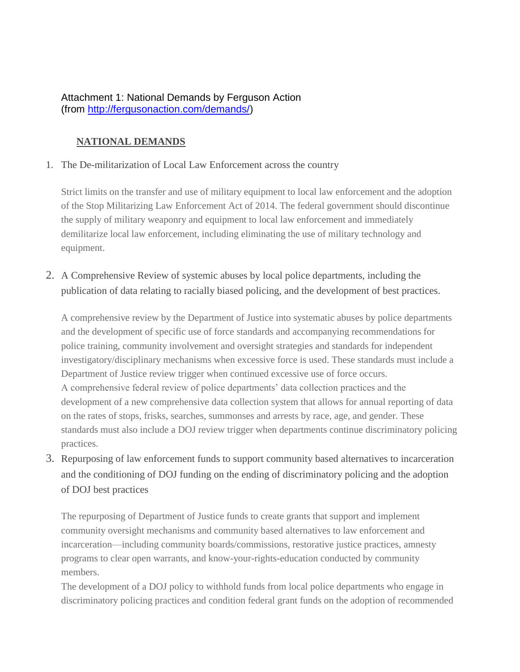# Attachment 1: National Demands by Ferguson Action (from [http://fergusonaction.com/demands/\)](http://fergusonaction.com/demands/)

# **NATIONAL DEMANDS**

### 1. The De-militarization of Local Law Enforcement across the country

Strict limits on the transfer and use of military equipment to local law enforcement and the adoption of the Stop Militarizing Law Enforcement Act of 2014. The federal government should discontinue the supply of military weaponry and equipment to local law enforcement and immediately demilitarize local law enforcement, including eliminating the use of military technology and equipment.

2. A Comprehensive Review of systemic abuses by local police departments, including the publication of data relating to racially biased policing, and the development of best practices.

A comprehensive review by the Department of Justice into systematic abuses by police departments and the development of specific use of force standards and accompanying recommendations for police training, community involvement and oversight strategies and standards for independent investigatory/disciplinary mechanisms when excessive force is used. These standards must include a Department of Justice review trigger when continued excessive use of force occurs. A comprehensive federal review of police departments' data collection practices and the development of a new comprehensive data collection system that allows for annual reporting of data on the rates of stops, frisks, searches, summonses and arrests by race, age, and gender. These standards must also include a DOJ review trigger when departments continue discriminatory policing practices.

3. Repurposing of law enforcement funds to support community based alternatives to incarceration and the conditioning of DOJ funding on the ending of discriminatory policing and the adoption of DOJ best practices

The repurposing of Department of Justice funds to create grants that support and implement community oversight mechanisms and community based alternatives to law enforcement and incarceration—including community boards/commissions, restorative justice practices, amnesty programs to clear open warrants, and know-your-rights-education conducted by community members.

The development of a DOJ policy to withhold funds from local police departments who engage in discriminatory policing practices and condition federal grant funds on the adoption of recommended